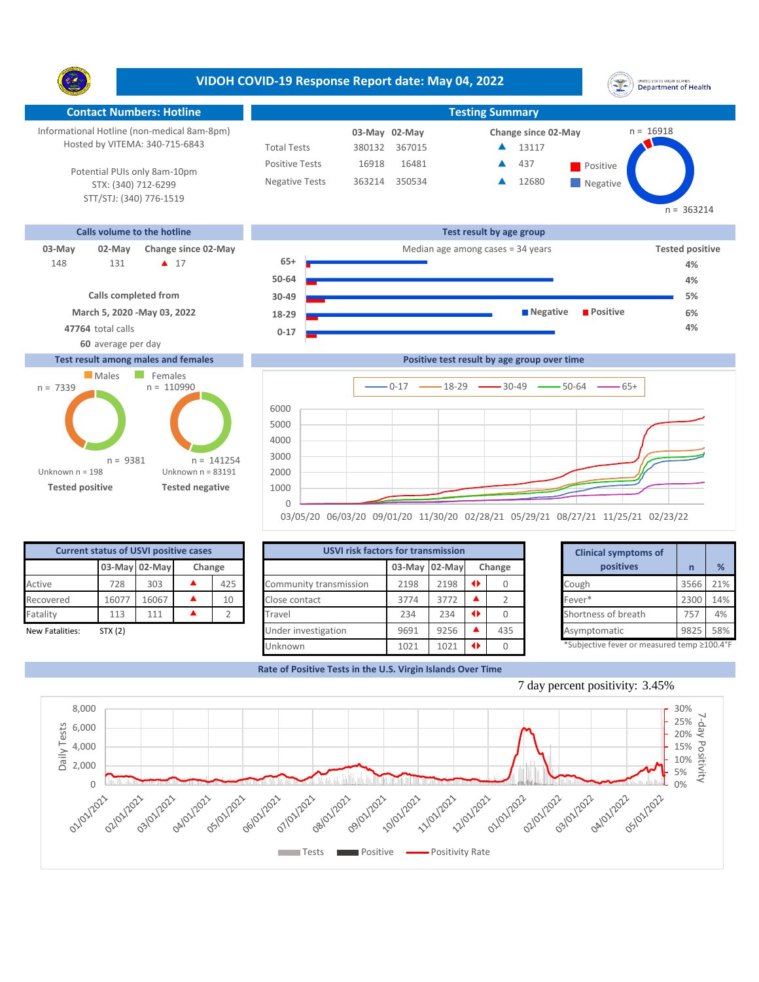**VIDOH COVID-19 Response Report date: May 04, 2022** UNITED STATES VIRGIN SLANDS<br>Department of Health Y. **Contact Numbers: Hotline Testing Summary** Informational Hotline (non-medical 8am-8pm)  $n = 16918$ **03-May Change since 02-May 02-May** Hosted by VITEMA: 340-715-6843 Total Tests 380132 367015 13117 ▲ Positive Tests 16918 16481 **437** Positive 437  $\blacktriangle$ Potential PUIs only 8am-10pm Negative Tests 363214 350534 12680 ▲ **Negative** STX: (340) 712-6299 STT/STJ: (340) 776-1519  $n = 363214$ **Calls volume to the hotline Test result by age group 03-May 02-May Change since 02-May Change since 02-May Change and Change among cases = 34 years <b>Tested positive Tested positive 65+** 131 **A** 17 148 **131 ▲ 17 65+ <del>■ 12 12 12 12 12 12 12 14</del> 14% ● 14% ● 14% ● 14% ● 14% ● 14% ● 14% ● 14% ● 14% ● 14% ● 14% ● 14% ● 14% ● 14% ● 14% ● 14% ● 14% ● 14% ● 14% ● 14% ● 14% ● 14% ● 14% ● 14% ● 14% <b>+** 14% **+** 14% **+** 14% **50-64 4% Calls completed from 5% 30-49 March 5, 2020 -May 03, 2022 Negative Positive 6% 18-29 47764** total calls **4% 0-17 60** average per day **Test result among males and females Positive test result by age group over time Males** Females  $0-17$   $\longrightarrow$  18-29  $\longrightarrow$  30-49  $\longrightarrow$  50-64  $\longrightarrow$  65+ **Confirmed cases**





| <b>Current status of USVI positive cases</b> |         |               |        |     |  |  |  |  |  |  |
|----------------------------------------------|---------|---------------|--------|-----|--|--|--|--|--|--|
|                                              |         | 03-May 02-May | Change |     |  |  |  |  |  |  |
| Active                                       | 728     | 303           |        | 425 |  |  |  |  |  |  |
| Recovered                                    | 16077   | 16067         |        | 10  |  |  |  |  |  |  |
| Fatality                                     | 113     | 111           |        | フ   |  |  |  |  |  |  |
| <b>New Fatalities:</b>                       | STX (2) |               |        |     |  |  |  |  |  |  |

|                 | <b>Current status of USVI positive cases</b> |               |        |     |                        | <b>USVI risk factors for transmission</b> |               |  |        |  | <b>Clinical symptoms of</b>                |      |     |
|-----------------|----------------------------------------------|---------------|--------|-----|------------------------|-------------------------------------------|---------------|--|--------|--|--------------------------------------------|------|-----|
|                 |                                              | 03-May 02-May | Change |     |                        |                                           | 03-May 02-May |  | Change |  | positives                                  |      | %   |
| Active          | 728                                          | 303           |        | 425 | Community transmission | 2198                                      | 2198          |  |        |  | Cough                                      | 3566 | 21% |
| Recovered       | 16077                                        | 16067         |        | 10  | Close contact          | 3774                                      | 3772          |  |        |  | Fever*                                     | 2300 | 14% |
| Fatality        | 113                                          | 111           |        |     | Travel                 | 234                                       | 234           |  |        |  | Shortness of breath                        | 757  | 4%  |
| New Fatalities: | STX(2)                                       |               |        |     | Under investigation    | 9691                                      | 9256          |  | 435    |  | Asymptomatic                               | 9825 | 58% |
|                 |                                              |               |        |     | Unknown                | 1021                                      | 1021          |  |        |  | *Subjective fever or measured temp ≥100.4° |      |     |

|      | for transmission |   |        | <b>Clinical symptoms of</b>                 |              |     |
|------|------------------|---|--------|---------------------------------------------|--------------|-----|
|      | 03-May 02-May    |   | Change | positives                                   | $\mathsf{n}$ | %   |
| 2198 | 2198             | O | 0      | Cough                                       | 3566         | 21% |
| 3774 | 3772             |   | 2      | Fever*                                      | 2300         | 14% |
| 234  | 234              | O | Ω      | Shortness of breath                         | 757          | 4%  |
| 9691 | 9256             |   | 435    | Asymptomatic                                | 9825         | 58% |
| 1021 | 1021             | O |        | *Subjective fever or measured temp ≥100.4°F |              |     |

**Rate of Positive Tests in the U.S. Virgin Islands Over Time**